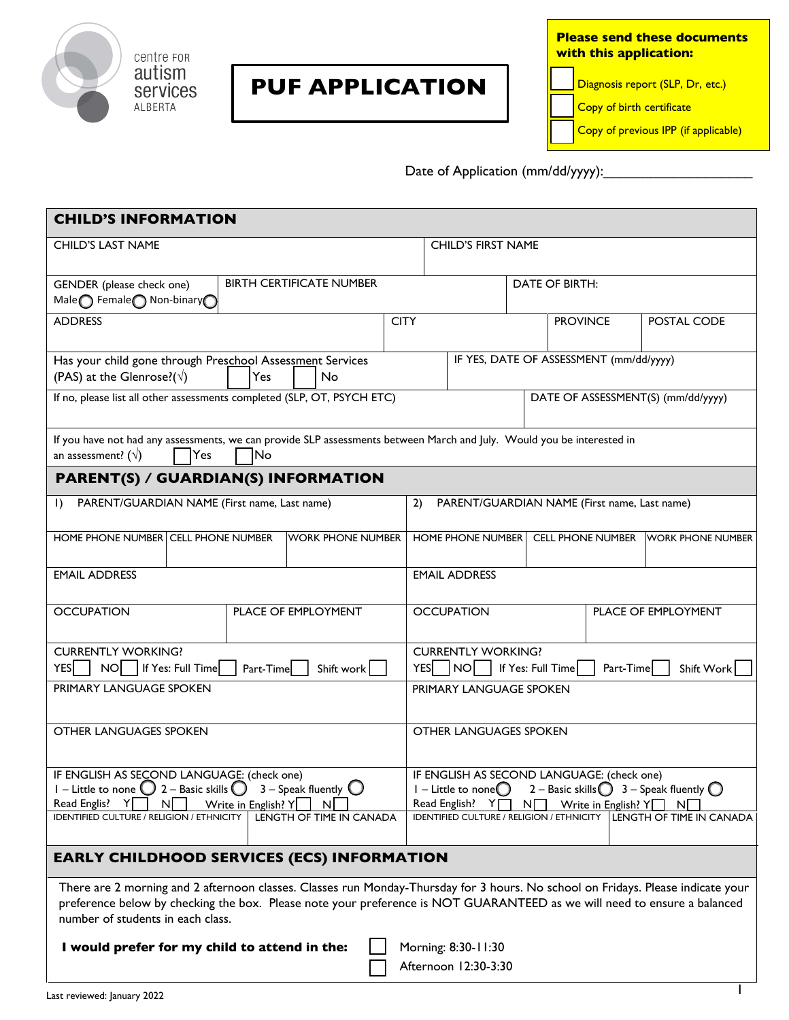

centre FOR autism services ALBERTA

## **PUF APPLICATION**

**Please send these documents with this application:** 

Diagnosis report (SLP, Dr, etc.)

Copy of birth certificate

Copy of previous IPP (if applicable)

Date of Application (mm/dd/yyyy):

| <b>CHILD'S INFORMATION</b>                                                                                                                                                                                                                                                                        |  |                          |             |                                                                                                                                                                                                                                                                                            |                      |                 |                          |             |                          |
|---------------------------------------------------------------------------------------------------------------------------------------------------------------------------------------------------------------------------------------------------------------------------------------------------|--|--------------------------|-------------|--------------------------------------------------------------------------------------------------------------------------------------------------------------------------------------------------------------------------------------------------------------------------------------------|----------------------|-----------------|--------------------------|-------------|--------------------------|
| <b>CHILD'S LAST NAME</b>                                                                                                                                                                                                                                                                          |  |                          |             | <b>CHILD'S FIRST NAME</b>                                                                                                                                                                                                                                                                  |                      |                 |                          |             |                          |
| <b>BIRTH CERTIFICATE NUMBER</b><br>GENDER (please check one)<br>Male remale non-binary                                                                                                                                                                                                            |  |                          |             |                                                                                                                                                                                                                                                                                            | DATE OF BIRTH:       |                 |                          |             |                          |
| <b>ADDRESS</b>                                                                                                                                                                                                                                                                                    |  |                          | <b>CITY</b> |                                                                                                                                                                                                                                                                                            |                      | <b>PROVINCE</b> |                          | POSTAL CODE |                          |
| Has your child gone through Preschool Assessment Services<br>IF YES, DATE OF ASSESSMENT (mm/dd/yyyy)<br>(PAS) at the Glenrose?( $\sqrt{ }$ )<br>Yes<br>No                                                                                                                                         |  |                          |             |                                                                                                                                                                                                                                                                                            |                      |                 |                          |             |                          |
| If no, please list all other assessments completed (SLP, OT, PSYCH ETC)                                                                                                                                                                                                                           |  |                          |             | DATE OF ASSESSMENT(S) (mm/dd/yyyy)                                                                                                                                                                                                                                                         |                      |                 |                          |             |                          |
| If you have not had any assessments, we can provide SLP assessments between March and July. Would you be interested in<br>an assessment? ( $\sqrt{}$ )<br><b>No</b><br>Yes                                                                                                                        |  |                          |             |                                                                                                                                                                                                                                                                                            |                      |                 |                          |             |                          |
| <b>PARENT(S) / GUARDIAN(S) INFORMATION</b>                                                                                                                                                                                                                                                        |  |                          |             |                                                                                                                                                                                                                                                                                            |                      |                 |                          |             |                          |
| PARENT/GUARDIAN NAME (First name, Last name)<br>$\vert$ )                                                                                                                                                                                                                                         |  |                          |             | 2)<br>PARENT/GUARDIAN NAME (First name, Last name)                                                                                                                                                                                                                                         |                      |                 |                          |             |                          |
| HOME PHONE NUMBER CELL PHONE NUMBER                                                                                                                                                                                                                                                               |  | <b>WORK PHONE NUMBER</b> |             |                                                                                                                                                                                                                                                                                            | HOME PHONE NUMBER    |                 | <b>CELL PHONE NUMBER</b> |             | <b>WORK PHONE NUMBER</b> |
| <b>EMAIL ADDRESS</b>                                                                                                                                                                                                                                                                              |  |                          |             |                                                                                                                                                                                                                                                                                            | <b>EMAIL ADDRESS</b> |                 |                          |             |                          |
| <b>OCCUPATION</b><br>PLACE OF EMPLOYMENT                                                                                                                                                                                                                                                          |  |                          |             | <b>OCCUPATION</b><br>PLACE OF EMPLOYMENT                                                                                                                                                                                                                                                   |                      |                 |                          |             |                          |
| <b>CURRENTLY WORKING?</b><br>NO   If Yes: Full Time<br><b>YES</b><br>Part-Time<br>Shift work                                                                                                                                                                                                      |  |                          |             | <b>CURRENTLY WORKING?</b><br>YES   NO<br>Part-Time<br>If Yes: Full Time<br>Shift Work                                                                                                                                                                                                      |                      |                 |                          |             |                          |
| PRIMARY LANGUAGE SPOKEN                                                                                                                                                                                                                                                                           |  |                          |             | PRIMARY LANGUAGE SPOKEN                                                                                                                                                                                                                                                                    |                      |                 |                          |             |                          |
| <b>OTHER LANGUAGES SPOKEN</b>                                                                                                                                                                                                                                                                     |  |                          |             | OTHER LANGUAGES SPOKEN                                                                                                                                                                                                                                                                     |                      |                 |                          |             |                          |
| IF ENGLISH AS SECOND LANGUAGE: (check one)<br>I – Little to none $\bigcirc$ 2 – Basic skills $\bigcirc$ 3 – Speak fluently $\bigcirc$<br>Νĺ<br>Read Englis?<br>Write in English? Y<br><sub>N</sub>                                                                                                |  |                          |             | IF ENGLISH AS SECOND LANGUAGE: (check one)<br>2 – Basic skills $\bigcirc$ 3 – Speak fluently $\bigcirc$<br>$I$ – Little to none $\bigcirc$<br>Read English?<br>YΠ<br>Write in English? $Y$<br>$N\Box$<br>$N\Gamma$<br>IDENTIFIED CULTURE / RELIGION / ETHNICITY   LENGTH OF TIME IN CANADA |                      |                 |                          |             |                          |
| IDENTIFIED CULTURE / RELIGION / ETHNICITY                                                                                                                                                                                                                                                         |  | LENGTH OF TIME IN CANADA |             |                                                                                                                                                                                                                                                                                            |                      |                 |                          |             |                          |
| <b>EARLY CHILDHOOD SERVICES (ECS) INFORMATION</b>                                                                                                                                                                                                                                                 |  |                          |             |                                                                                                                                                                                                                                                                                            |                      |                 |                          |             |                          |
| There are 2 morning and 2 afternoon classes. Classes run Monday-Thursday for 3 hours. No school on Fridays. Please indicate your<br>preference below by checking the box. Please note your preference is NOT GUARANTEED as we will need to ensure a balanced<br>number of students in each class. |  |                          |             |                                                                                                                                                                                                                                                                                            |                      |                 |                          |             |                          |
| Morning: 8:30-11:30<br>I would prefer for my child to attend in the:                                                                                                                                                                                                                              |  |                          |             |                                                                                                                                                                                                                                                                                            |                      |                 |                          |             |                          |
| Afternoon 12:30-3:30                                                                                                                                                                                                                                                                              |  |                          |             |                                                                                                                                                                                                                                                                                            |                      |                 |                          |             |                          |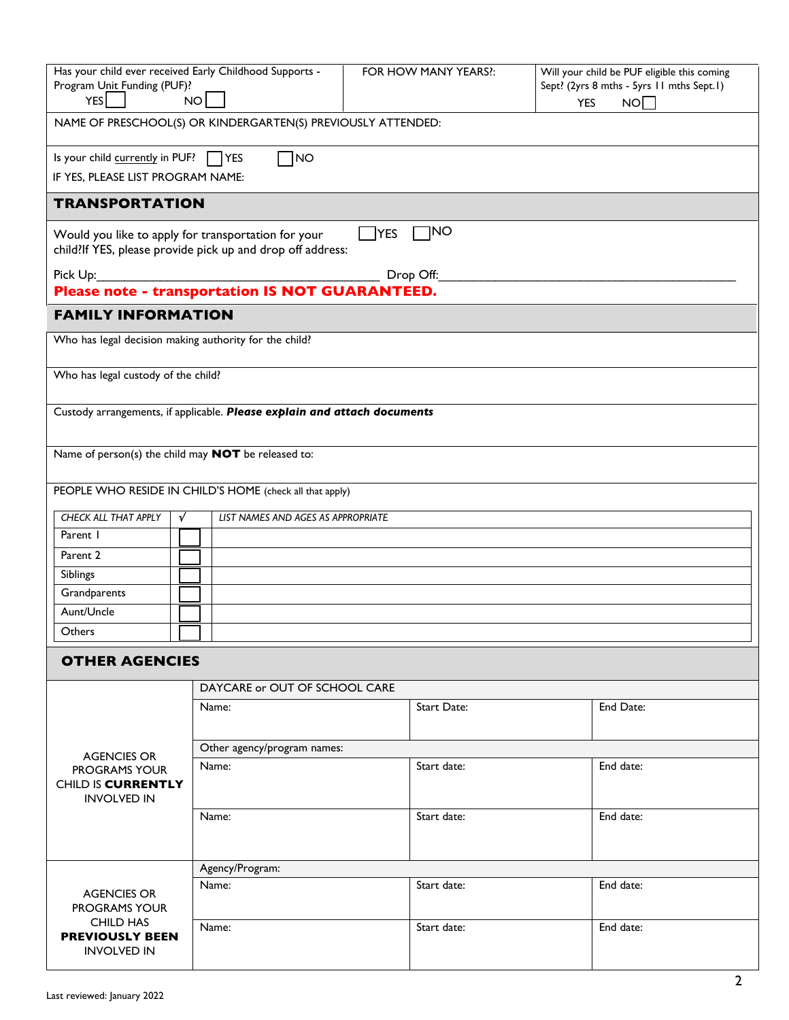| Has your child ever received Early Childhood Supports -                                                                                      |                                                                          | FOR HOW MANY YEARS ?: | Will your child be PUF eligible this coming |  |  |  |  |
|----------------------------------------------------------------------------------------------------------------------------------------------|--------------------------------------------------------------------------|-----------------------|---------------------------------------------|--|--|--|--|
| Program Unit Funding (PUF)?                                                                                                                  |                                                                          |                       | Sept? (2yrs 8 mths - 5yrs 11 mths Sept.1)   |  |  |  |  |
| $YES$  <br>NO<br>NO<br><b>YES</b><br>NAME OF PRESCHOOL(S) OR KINDERGARTEN(S) PREVIOUSLY ATTENDED:                                            |                                                                          |                       |                                             |  |  |  |  |
|                                                                                                                                              |                                                                          |                       |                                             |  |  |  |  |
| Is your child currently in PUF? $\Box$ YES<br>ไพo                                                                                            |                                                                          |                       |                                             |  |  |  |  |
| IF YES, PLEASE LIST PROGRAM NAME:                                                                                                            |                                                                          |                       |                                             |  |  |  |  |
| <b>TRANSPORTATION</b>                                                                                                                        |                                                                          |                       |                                             |  |  |  |  |
| $\neg$ NO<br><b>YES</b><br>Would you like to apply for transportation for your<br>child?If YES, please provide pick up and drop off address: |                                                                          |                       |                                             |  |  |  |  |
| Drop Off:                                                                                                                                    |                                                                          |                       |                                             |  |  |  |  |
| Please note - transportation IS NOT GUARANTEED.                                                                                              |                                                                          |                       |                                             |  |  |  |  |
| <b>FAMILY INFORMATION</b>                                                                                                                    |                                                                          |                       |                                             |  |  |  |  |
| Who has legal decision making authority for the child?                                                                                       |                                                                          |                       |                                             |  |  |  |  |
| Who has legal custody of the child?                                                                                                          |                                                                          |                       |                                             |  |  |  |  |
|                                                                                                                                              | Custody arrangements, if applicable. Please explain and attach documents |                       |                                             |  |  |  |  |
|                                                                                                                                              |                                                                          |                       |                                             |  |  |  |  |
| Name of person(s) the child may <b>NOT</b> be released to:                                                                                   |                                                                          |                       |                                             |  |  |  |  |
|                                                                                                                                              | PEOPLE WHO RESIDE IN CHILD'S HOME (check all that apply)                 |                       |                                             |  |  |  |  |
| CHECK ALL THAT APPLY<br>V                                                                                                                    | LIST NAMES AND AGES AS APPROPRIATE                                       |                       |                                             |  |  |  |  |
| Parent 1                                                                                                                                     |                                                                          |                       |                                             |  |  |  |  |
| Parent 2                                                                                                                                     |                                                                          |                       |                                             |  |  |  |  |
| Siblings                                                                                                                                     |                                                                          |                       |                                             |  |  |  |  |
| Grandparents                                                                                                                                 |                                                                          |                       |                                             |  |  |  |  |
| Aunt/Uncle                                                                                                                                   |                                                                          |                       |                                             |  |  |  |  |
| Others                                                                                                                                       |                                                                          |                       |                                             |  |  |  |  |
| <b>OTHER AGENCIES</b>                                                                                                                        |                                                                          |                       |                                             |  |  |  |  |
|                                                                                                                                              | DAYCARE or OUT OF SCHOOL CARE                                            |                       |                                             |  |  |  |  |
|                                                                                                                                              | Name:                                                                    | <b>Start Date:</b>    | End Date:                                   |  |  |  |  |
|                                                                                                                                              |                                                                          |                       |                                             |  |  |  |  |
|                                                                                                                                              | Other agency/program names:                                              |                       |                                             |  |  |  |  |
| <b>AGENCIES OR</b><br><b>PROGRAMS YOUR</b>                                                                                                   | Name:                                                                    | Start date:           | End date:                                   |  |  |  |  |
| CHILD IS CURRENTLY                                                                                                                           |                                                                          |                       |                                             |  |  |  |  |
| <b>INVOLVED IN</b>                                                                                                                           |                                                                          |                       |                                             |  |  |  |  |
|                                                                                                                                              | Name:                                                                    | Start date:           | End date:                                   |  |  |  |  |
|                                                                                                                                              |                                                                          |                       |                                             |  |  |  |  |
|                                                                                                                                              | Agency/Program:                                                          |                       |                                             |  |  |  |  |
|                                                                                                                                              | End date:<br>Start date:<br>Name:                                        |                       |                                             |  |  |  |  |
| <b>AGENCIES OR</b><br><b>PROGRAMS YOUR</b>                                                                                                   |                                                                          |                       |                                             |  |  |  |  |
| <b>CHILD HAS</b>                                                                                                                             | Name:                                                                    | Start date:           | End date:                                   |  |  |  |  |
| <b>PREVIOUSLY BEEN</b>                                                                                                                       |                                                                          |                       |                                             |  |  |  |  |
| <b>INVOLVED IN</b>                                                                                                                           |                                                                          |                       |                                             |  |  |  |  |